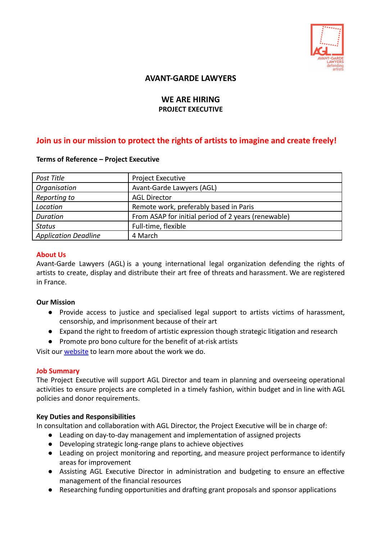

# **AVANT-GARDE LAWYERS**

## **WE ARE HIRING PROJECT EXECUTIVE**

# **Join us in our mission to protect the rights of artists to imagine and create freely!**

### **Terms of Reference – Project Executive**

| Post Title                  | <b>Project Executive</b>                            |
|-----------------------------|-----------------------------------------------------|
| Organisation                | Avant-Garde Lawyers (AGL)                           |
| Reporting to                | <b>AGL Director</b>                                 |
| Location                    | Remote work, preferably based in Paris              |
| Duration                    | From ASAP for initial period of 2 years (renewable) |
| Status                      | Full-time, flexible                                 |
| <b>Application Deadline</b> | 4 March                                             |

### **About Us**

Avant-Garde Lawyers (AGL) is a young international legal organization defending the rights of artists to create, display and distribute their art free of threats and harassment. We are registered in France.

### **Our Mission**

- Provide access to justice and specialised legal support to artists victims of harassment, censorship, and imprisonment because of their art
- Expand the right to freedom of artistic expression though strategic litigation and research
- Promote pro bono culture for the benefit of at-risk artists

Visit our **[website](https://avantgardelawyers.org/)** to learn more about the work we do.

### **Job Summary**

The Project Executive will support AGL Director and team in planning and overseeing operational activities to ensure projects are completed in a timely fashion, within budget and in line with AGL policies and donor requirements.

### **Key Duties and Responsibilities**

In consultation and collaboration with AGL Director, the Project Executive will be in charge of:

- Leading on day-to-day management and implementation of assigned projects
	- Developing strategic long-range plans to achieve objectives
	- Leading on project monitoring and reporting, and measure project performance to identify areas for improvement
	- Assisting AGL Executive Director in administration and budgeting to ensure an effective management of the financial resources
	- Researching funding opportunities and drafting grant proposals and sponsor applications